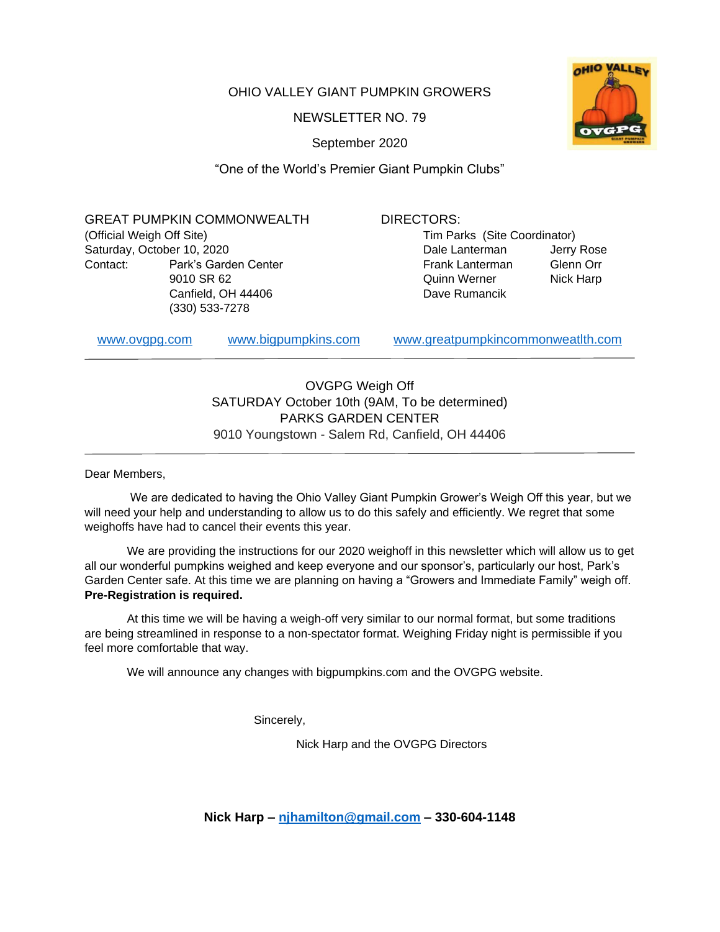OHIO VALLEY GIANT PUMPKIN GROWERS

NEWSLETTER NO. 79

September 2020



GREAT PUMPKIN COMMONWEALTH (Official Weigh Off Site) Saturday, October 10, 2020 Contact: Park's Garden Center 9010 SR 62 Canfield, OH 44406 (330) 533-7278

## DIRECTORS:

Tim Parks (Site Coordinator) Dale Lanterman Jerry Rose Frank Lanterman Glenn Orr Quinn Werner Nick Harp Dave Rumancik

[www.ovgpg.com](http://www.ovgpg.com/) [www.bigpumpkins.com](http://www.bigpumpkins.com/) [www.greatpumpkincommonweatlth.com](http://www.greatpumpkincommonweatlth.com/)

OVGPG Weigh Off SATURDAY October 10th (9AM, To be determined) PARKS GARDEN CENTER 9010 Youngstown - Salem Rd, Canfield, OH 44406

Dear Members,

We are dedicated to having the Ohio Valley Giant Pumpkin Grower's Weigh Off this year, but we will need your help and understanding to allow us to do this safely and efficiently. We regret that some weighoffs have had to cancel their events this year.

We are providing the instructions for our 2020 weighoff in this newsletter which will allow us to get all our wonderful pumpkins weighed and keep everyone and our sponsor's, particularly our host, Park's Garden Center safe. At this time we are planning on having a "Growers and Immediate Family" weigh off. **Pre-Registration is required.**

At this time we will be having a weigh-off very similar to our normal format, but some traditions are being streamlined in response to a non-spectator format. Weighing Friday night is permissible if you feel more comfortable that way.

We will announce any changes with bigpumpkins.com and the OVGPG website.

Sincerely,

Nick Harp and the OVGPG Directors

**Nick Harp – [njhamilton@gmail.com](mailto:njhamilton@gmail.com) – 330-604-1148**

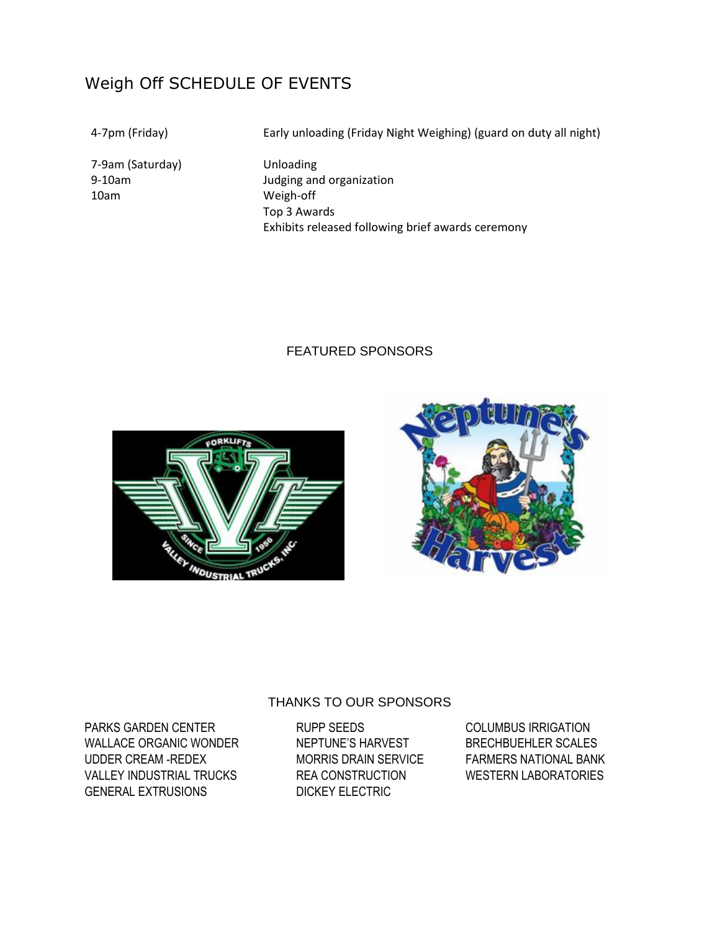# Weigh Off SCHEDULE OF EVENTS

7-9am (Saturday) Unloading 10am Weigh-off

4-7pm (Friday) Early unloading (Friday Night Weighing) (guard on duty all night)

9-10am Judging and organization Top 3 Awards Exhibits released following brief awards ceremony

## FEATURED SPONSORS





PARKS GARDEN CENTER THE RUPP SEEDS COLUMBUS IRRIGATION WALLACE ORGANIC WONDER NEPTUNE'S HARVEST BRECHBUEHLER SCALES UDDER CREAM -REDEX MORRIS DRAIN SERVICE FARMERS NATIONAL BANK VALLEY INDUSTRIAL TRUCKS REA CONSTRUCTION WESTERN LABORATORIES GENERAL EXTRUSIONS DICKEY ELECTRIC

## THANKS TO OUR SPONSORS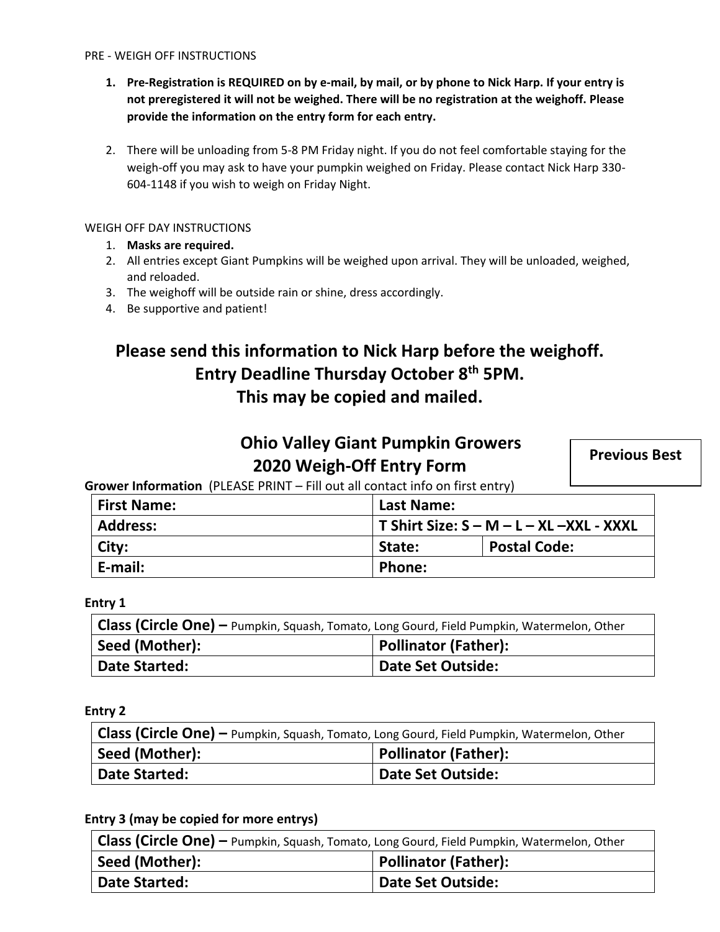- **1. Pre-Registration is REQUIRED on by e-mail, by mail, or by phone to Nick Harp. If your entry is not preregistered it will not be weighed. There will be no registration at the weighoff. Please provide the information on the entry form for each entry.**
- 2. There will be unloading from 5-8 PM Friday night. If you do not feel comfortable staying for the weigh-off you may ask to have your pumpkin weighed on Friday. Please contact Nick Harp 330- 604-1148 if you wish to weigh on Friday Night.

#### WEIGH OFF DAY INSTRUCTIONS

- 1. **Masks are required.**
- 2. All entries except Giant Pumpkins will be weighed upon arrival. They will be unloaded, weighed, and reloaded.
- 3. The weighoff will be outside rain or shine, dress accordingly.
- 4. Be supportive and patient!

# **Please send this information to Nick Harp before the weighoff. Entry Deadline Thursday October 8th 5PM. This may be copied and mailed.**

## **Ohio Valley Giant Pumpkin Growers 2020 Weigh-Off Entry Form**

**Previous Best**

**Grower Information** (PLEASE PRINT – Fill out all contact info on first entry)

| <b>First Name:</b> | Last Name:                                  |                     |
|--------------------|---------------------------------------------|---------------------|
| <b>Address:</b>    | T Shirt Size: $S - M - L - XL - XXL - XXXL$ |                     |
| City:              | State:                                      | <b>Postal Code:</b> |
| E-mail:            | Phone:                                      |                     |

### **Entry 1**

| Class (Circle One) - Pumpkin, Squash, Tomato, Long Gourd, Field Pumpkin, Watermelon, Other |                      |  |
|--------------------------------------------------------------------------------------------|----------------------|--|
| Seed (Mother):                                                                             | Pollinator (Father): |  |
| <b>Date Started:</b>                                                                       | Date Set Outside:    |  |

### **Entry 2**

| Class (Circle One) – Pumpkin, Squash, Tomato, Long Gourd, Field Pumpkin, Watermelon, Other |                      |  |
|--------------------------------------------------------------------------------------------|----------------------|--|
| Seed (Mother):                                                                             | Pollinator (Father): |  |
| <b>Date Started:</b>                                                                       | Date Set Outside:    |  |

**Entry 3 (may be copied for more entrys)**

| Class (Circle One) - Pumpkin, Squash, Tomato, Long Gourd, Field Pumpkin, Watermelon, Other |                             |  |
|--------------------------------------------------------------------------------------------|-----------------------------|--|
| Seed (Mother):                                                                             | <b>Pollinator (Father):</b> |  |
| Date Started:                                                                              | <b>Date Set Outside:</b>    |  |